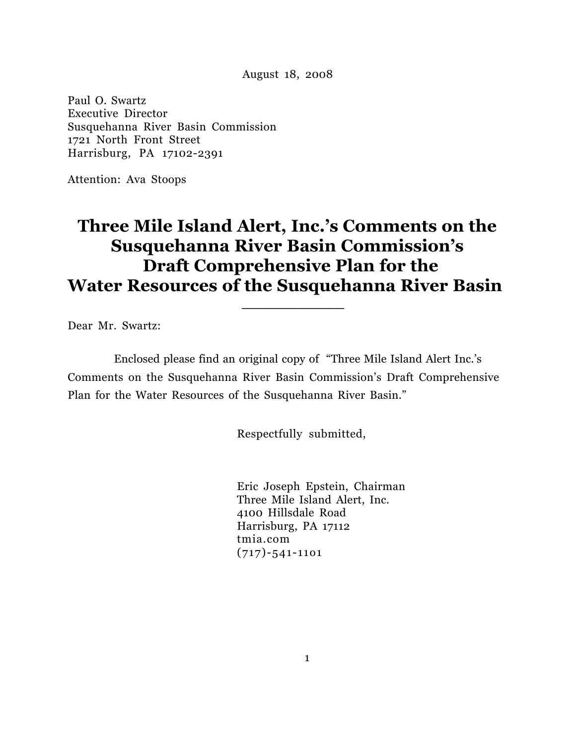August 18, 2008

Paul O. Swartz Executive Director Susquehanna River Basin Commission 1721 North Front Street Harrisburg, PA 17102-2391

Attention: Ava Stoops

# **Three Mile Island Alert, Inc.'s Comments on the Susquehanna River Basin Commission's Draft Comprehensive Plan for the**  Water Resources of the Susquehanna River Basin

Dear Mr. Swartz:

 Enclosed please find an original copy of "Three Mile Island Alert Inc.'s Comments on the Susquehanna River Basin Commission's Draft Comprehensive Plan for the Water Resources of the Susquehanna River Basin."

Respectfully submitted,

 Eric Joseph Epstein, Chairman Three Mile Island Alert, Inc. 4100 Hillsdale Road Harrisburg, PA 17112 tmia.com (717)-541-11o1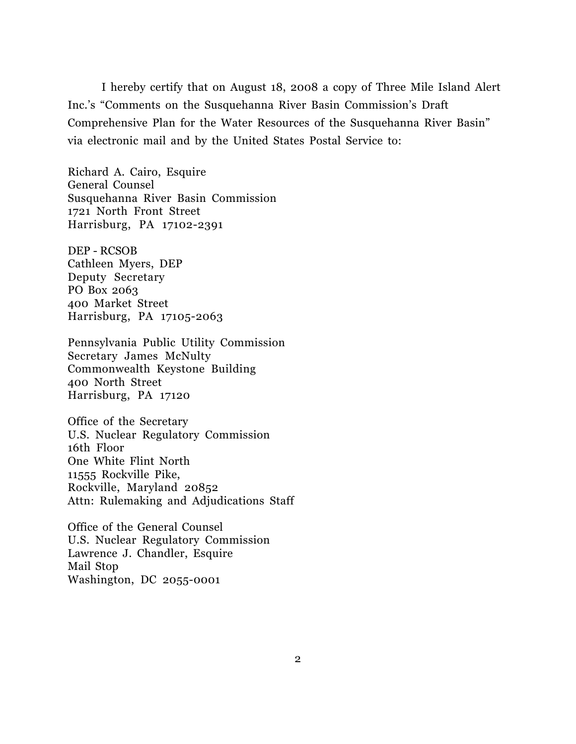I hereby certify that on August 18, 2008 a copy of Three Mile Island Alert Inc.'s "Comments on the Susquehanna River Basin Commission's Draft Comprehensive Plan for the Water Resources of the Susquehanna River Basin" via electronic mail and by the United States Postal Service to:

Richard A. Cairo, Esquire General Counsel Susquehanna River Basin Commission 1721 North Front Street Harrisburg, PA 17102-2391

DEP - RCSOB Cathleen Myers, DEP Deputy Secretary PO Box 2063 400 Market Street Harrisburg, PA 17105-2063

Pennsylvania Public Utility Commission Secretary James McNulty Commonwealth Keystone Building 400 North Street Harrisburg, PA 17120

Office of the Secretary U.S. Nuclear Regulatory Commission 16th Floor One White Flint North 11555 Rockville Pike, Rockville, Maryland 20852 Attn: Rulemaking and Adjudications Staff

Office of the General Counsel U.S. Nuclear Regulatory Commission Lawrence J. Chandler, Esquire Mail Stop Washington, DC 2055-0001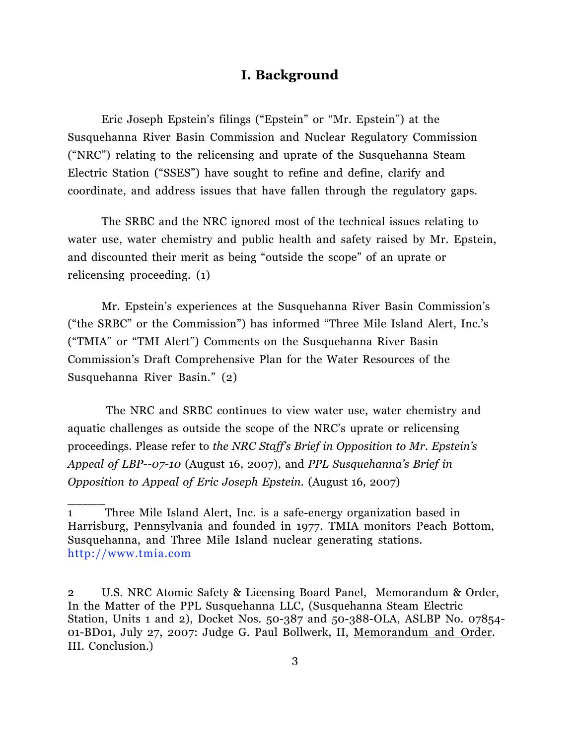### **I. Background**

Eric Joseph Epstein's filings ("Epstein" or "Mr. Epstein") at the Susquehanna River Basin Commission and Nuclear Regulatory Commission ("NRC") relating to the relicensing and uprate of the Susquehanna Steam Electric Station ("SSES") have sought to refine and define, clarify and coordinate, and address issues that have fallen through the regulatory gaps.

 The SRBC and the NRC ignored most of the technical issues relating to water use, water chemistry and public health and safety raised by Mr. Epstein, and discounted their merit as being "outside the scope" of an uprate or relicensing proceeding. (1)

Mr. Epstein's experiences at the Susquehanna River Basin Commission's ("the SRBC" or the Commission") has informed "Three Mile Island Alert, Inc.'s ("TMIA" or "TMI Alert") Comments on the Susquehanna River Basin Commission's Draft Comprehensive Plan for the Water Resources of the Susquehanna River Basin." (2)

The NRC and SRBC continues to view water use, water chemistry and aquatic challenges as outside the scope of the NRC's uprate or relicensing proceedings. Please refer to *the NRC Staff's Brief in Opposition to Mr. Epstein's Appeal of LBP--07-10* (August 16, 2007), and *PPL Susquehanna's Brief in Opposition to Appeal of Eric Joseph Epstein.* (August 16, 2007)

<sup>1</sup> Three Mile Island Alert, Inc. is a safe-energy organization based in Harrisburg, Pennsylvania and founded in 1977. TMIA monitors Peach Bottom, Susquehanna, and Three Mile Island nuclear generating stations. http://www.tmia.com

<sup>2</sup> U.S. NRC Atomic Safety & Licensing Board Panel, Memorandum & Order, In the Matter of the PPL Susquehanna LLC, (Susquehanna Steam Electric Station, Units 1 and 2), Docket Nos. 50-387 and 50-388-OLA, ASLBP No. 07854- 01-BD01, July 27, 2007: Judge G. Paul Bollwerk, II, Memorandum and Order. III. Conclusion.)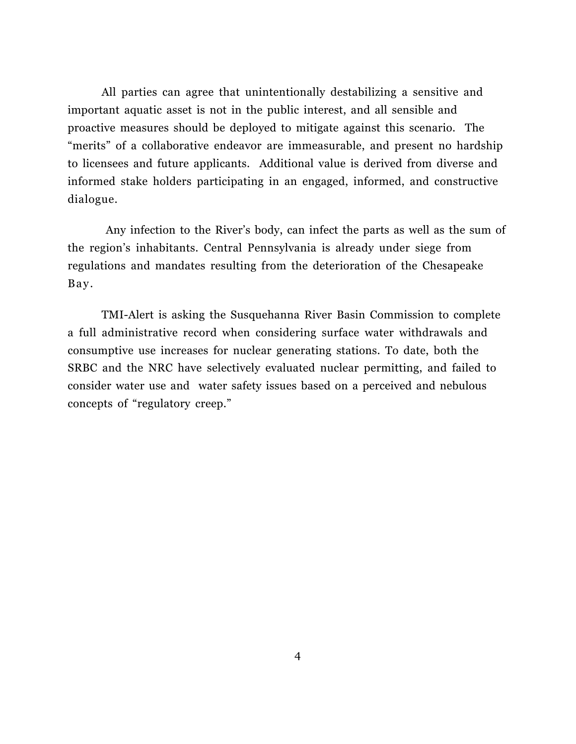All parties can agree that unintentionally destabilizing a sensitive and important aquatic asset is not in the public interest, and all sensible and proactive measures should be deployed to mitigate against this scenario. The "merits" of a collaborative endeavor are immeasurable, and present no hardship to licensees and future applicants. Additional value is derived from diverse and informed stake holders participating in an engaged, informed, and constructive dialogue.

Any infection to the River's body, can infect the parts as well as the sum of the region's inhabitants. Central Pennsylvania is already under siege from regulations and mandates resulting from the deterioration of the Chesapeake Bay.

 TMI-Alert is asking the Susquehanna River Basin Commission to complete a full administrative record when considering surface water withdrawals and consumptive use increases for nuclear generating stations. To date, both the SRBC and the NRC have selectively evaluated nuclear permitting, and failed to consider water use and water safety issues based on a perceived and nebulous concepts of "regulatory creep."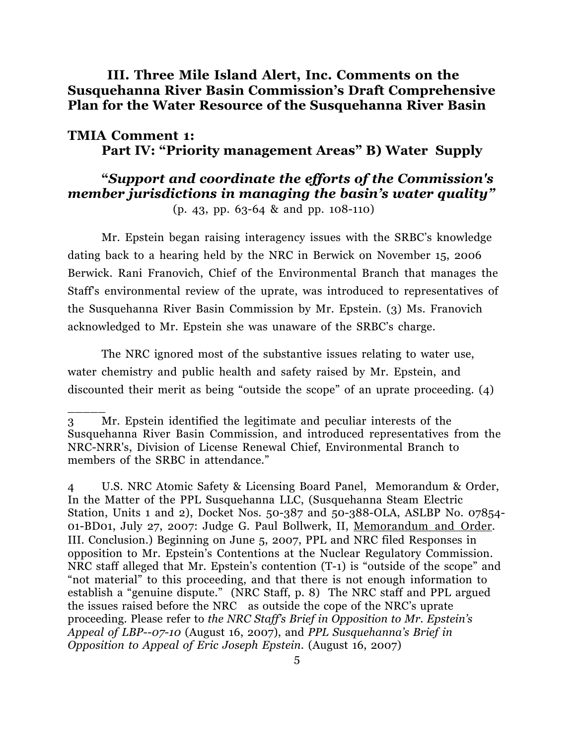**III. Three Mile Island Alert, Inc. Comments on the Susquehanna River Basin Commission's Draft Comprehensive Plan for the Water Resource of the Susquehanna River Basin** 

### **TMIA Comment 1: Part IV: "Priority management Areas" B) Water Supply**

# **"***Support and coordinate the efforts of the Commission's member jurisdictions in managing the basin's water quality"*

(p. 43, pp. 63-64 & and pp. 108-110)

Mr. Epstein began raising interagency issues with the SRBC's knowledge dating back to a hearing held by the NRC in Berwick on November 15, 2006 Berwick. Rani Franovich, Chief of the Environmental Branch that manages the Staff's environmental review of the uprate, was introduced to representatives of the Susquehanna River Basin Commission by Mr. Epstein. (3) Ms. Franovich acknowledged to Mr. Epstein she was unaware of the SRBC's charge.

The NRC ignored most of the substantive issues relating to water use, water chemistry and public health and safety raised by Mr. Epstein, and discounted their merit as being "outside the scope" of an uprate proceeding. (4)

 $\overline{\phantom{a}}$ 

4 U.S. NRC Atomic Safety & Licensing Board Panel, Memorandum & Order, In the Matter of the PPL Susquehanna LLC, (Susquehanna Steam Electric Station, Units 1 and 2), Docket Nos. 50-387 and 50-388-OLA, ASLBP No. 07854- 01-BD01, July 27, 2007: Judge G. Paul Bollwerk, II, Memorandum and Order. III. Conclusion.) Beginning on June 5, 2007, PPL and NRC filed Responses in opposition to Mr. Epstein's Contentions at the Nuclear Regulatory Commission. NRC staff alleged that Mr. Epstein's contention (T-1) is "outside of the scope" and "not material" to this proceeding, and that there is not enough information to establish a "genuine dispute." (NRC Staff, p. 8) The NRC staff and PPL argued the issues raised before the NRC as outside the cope of the NRC's uprate proceeding. Please refer to *the NRC Staff's Brief in Opposition to Mr. Epstein's Appeal of LBP--07-10* (August 16, 2007), and *PPL Susquehanna's Brief in Opposition to Appeal of Eric Joseph Epstein.* (August 16, 2007)

<sup>3</sup> Mr. Epstein identified the legitimate and peculiar interests of the Susquehanna River Basin Commission, and introduced representatives from the NRC-NRR's, Division of License Renewal Chief, Environmental Branch to members of the SRBC in attendance."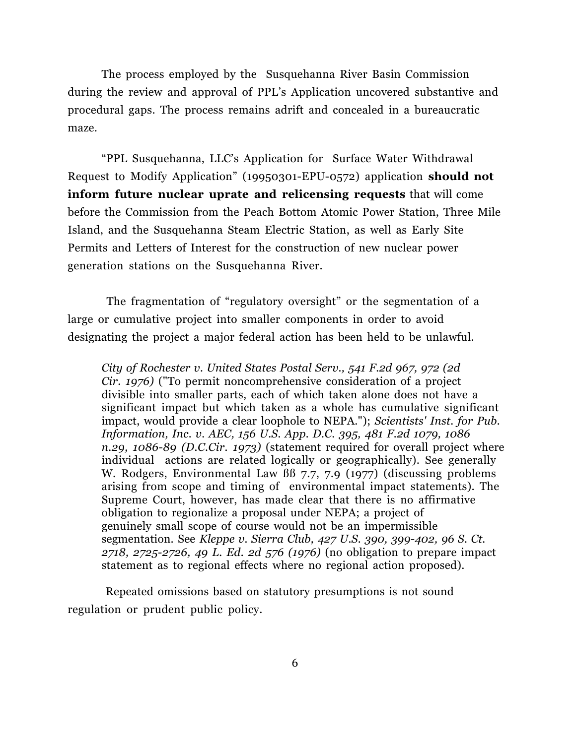The process employed by the Susquehanna River Basin Commission during the review and approval of PPL's Application uncovered substantive and procedural gaps. The process remains adrift and concealed in a bureaucratic maze.

 "PPL Susquehanna, LLC's Application for Surface Water Withdrawal Request to Modify Application" (19950301-EPU-0572) application **should not inform future nuclear uprate and relicensing requests** that will come before the Commission from the Peach Bottom Atomic Power Station, Three Mile Island, and the Susquehanna Steam Electric Station, as well as Early Site Permits and Letters of Interest for the construction of new nuclear power generation stations on the Susquehanna River.

The fragmentation of "regulatory oversight" or the segmentation of a large or cumulative project into smaller components in order to avoid designating the project a major federal action has been held to be unlawful.

*City of Rochester v. United States Postal Serv., 541 F.2d 967, 972 (2d Cir. 1976)* ("To permit noncomprehensive consideration of a project divisible into smaller parts, each of which taken alone does not have a significant impact but which taken as a whole has cumulative significant impact, would provide a clear loophole to NEPA."); *Scientists' Inst. for Pub. Information, Inc. v. AEC, 156 U.S. App. D.C. 395, 481 F.2d 1079, 1086 n.29, 1086-89 (D.C.Cir. 1973)* (statement required for overall project where individual actions are related logically or geographically). See generally W. Rodgers, Environmental Law BB 7.7, 7.9 (1977) (discussing problems arising from scope and timing of environmental impact statements). The Supreme Court, however, has made clear that there is no affirmative obligation to regionalize a proposal under NEPA; a project of genuinely small scope of course would not be an impermissible segmentation. See *Kleppe v. Sierra Club, 427 U.S. 390, 399-402, 96 S. Ct. 2718, 2725-2726, 49 L. Ed. 2d 576 (1976)* (no obligation to prepare impact statement as to regional effects where no regional action proposed).

Repeated omissions based on statutory presumptions is not sound regulation or prudent public policy.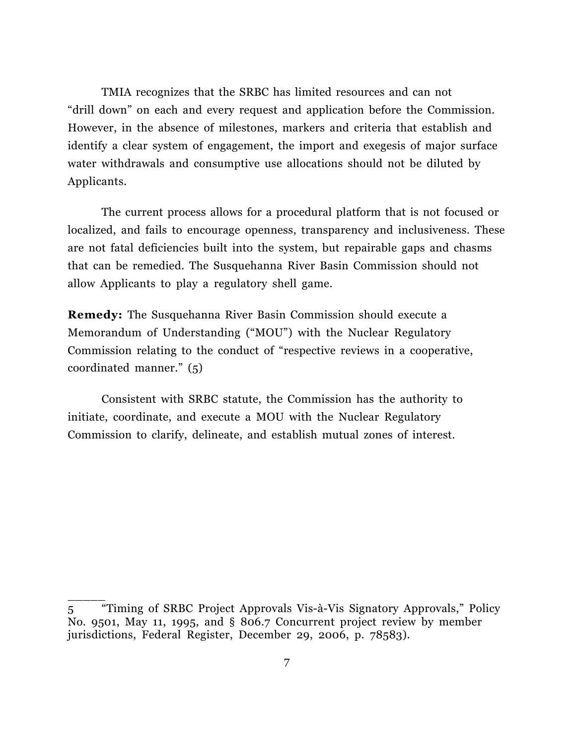TMIA recognizes that the SRBC has limited resources and can not "drill down" on each and every request and application before the Commission. However, in the absence of milestones, markers and criteria that establish and identify a clear system of engagement, the import and exegesis of major surface water withdrawals and consumptive use allocations should not be diluted by Applicants.

 The current process allows for a procedural platform that is not focused or localized, and fails to encourage openness, transparency and inclusiveness. These are not fatal deficiencies built into the system, but repairable gaps and chasms that can be remedied. The Susquehanna River Basin Commission should not allow Applicants to play a regulatory shell game.

**Remedy:** The Susquehanna River Basin Commission should execute a Memorandum of Understanding ("MOU") with the Nuclear Regulatory Commission relating to the conduct of "respective reviews in a cooperative, coordinated manner." (5)

Consistent with SRBC statute, the Commission has the authority to initiate, coordinate, and execute a MOU with the Nuclear Regulatory Commission to clarify, delineate, and establish mutual zones of interest.

<sup>5</sup> "Timing of SRBC Project Approvals Vis-à-Vis Signatory Approvals," Policy No. 9501, May 11, 1995, and § 806.7 Concurrent project review by member jurisdictions, Federal Register, December 29, 2006, p. 78583).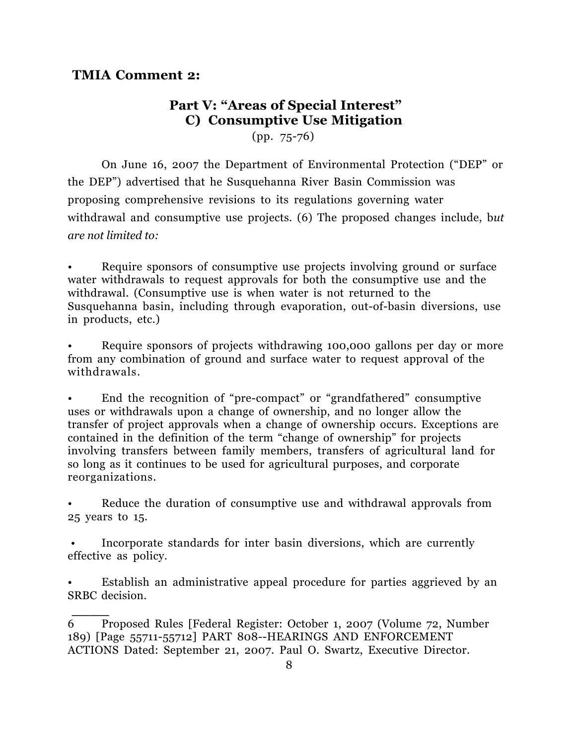### **TMIA Comment 2:**

**\_\_\_\_**

## **Part V: "Areas of Special Interest" C) Consumptive Use Mitigation**

(pp. 75-76)

On June 16, 2007 the Department of Environmental Protection ("DEP" or the DEP") advertised that he Susquehanna River Basin Commission was proposing comprehensive revisions to its regulations governing water withdrawal and consumptive use projects. (6) The proposed changes include, b*ut are not limited to:*

Require sponsors of consumptive use projects involving ground or surface water withdrawals to request approvals for both the consumptive use and the withdrawal. (Consumptive use is when water is not returned to the Susquehanna basin, including through evaporation, out-of-basin diversions, use in products, etc.)

Require sponsors of projects withdrawing 100,000 gallons per day or more from any combination of ground and surface water to request approval of the withdrawals.

• End the recognition of "pre-compact" or "grandfathered" consumptive uses or withdrawals upon a change of ownership, and no longer allow the transfer of project approvals when a change of ownership occurs. Exceptions are contained in the definition of the term "change of ownership" for projects involving transfers between family members, transfers of agricultural land for so long as it continues to be used for agricultural purposes, and corporate reorganizations.

Reduce the duration of consumptive use and withdrawal approvals from 25 years to 15.

• Incorporate standards for inter basin diversions, which are currently effective as policy.

Establish an administrative appeal procedure for parties aggrieved by an SRBC decision.

<sup>6</sup> Proposed Rules [Federal Register: October 1, 2007 (Volume 72, Number 189) [Page 55711-55712] PART 808--HEARINGS AND ENFORCEMENT ACTIONS Dated: September 21, 2007. Paul O. Swartz, Executive Director.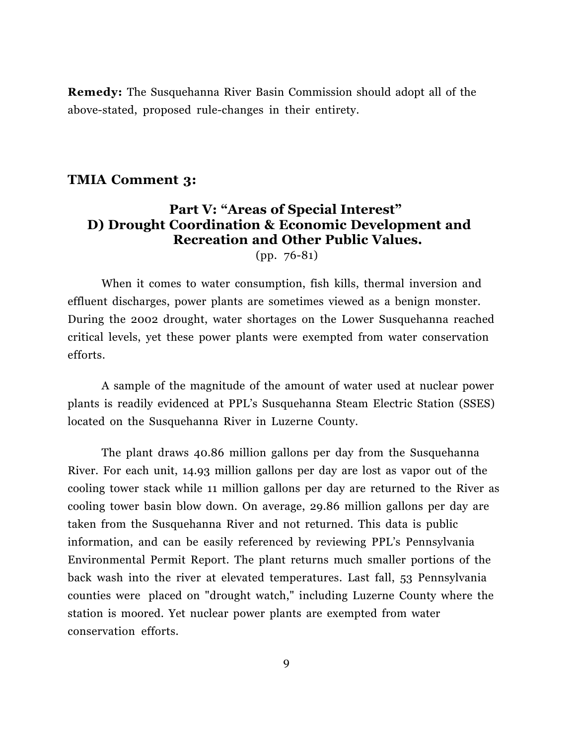**Remedy:** The Susquehanna River Basin Commission should adopt all of the above-stated, proposed rule-changes in their entirety.

### **TMIA Comment 3:**

## **Part V: "Areas of Special Interest" D) Drought Coordination & Economic Development and Recreation and Other Public Values.**

(pp. 76-81)

When it comes to water consumption, fish kills, thermal inversion and effluent discharges, power plants are sometimes viewed as a benign monster. During the 2002 drought, water shortages on the Lower Susquehanna reached critical levels, yet these power plants were exempted from water conservation efforts.

A sample of the magnitude of the amount of water used at nuclear power plants is readily evidenced at PPL's Susquehanna Steam Electric Station (SSES) located on the Susquehanna River in Luzerne County.

The plant draws 40.86 million gallons per day from the Susquehanna River. For each unit, 14.93 million gallons per day are lost as vapor out of the cooling tower stack while 11 million gallons per day are returned to the River as cooling tower basin blow down. On average, 29.86 million gallons per day are taken from the Susquehanna River and not returned. This data is public information, and can be easily referenced by reviewing PPL's Pennsylvania Environmental Permit Report. The plant returns much smaller portions of the back wash into the river at elevated temperatures. Last fall, 53 Pennsylvania counties were placed on "drought watch," including Luzerne County where the station is moored. Yet nuclear power plants are exempted from water conservation efforts.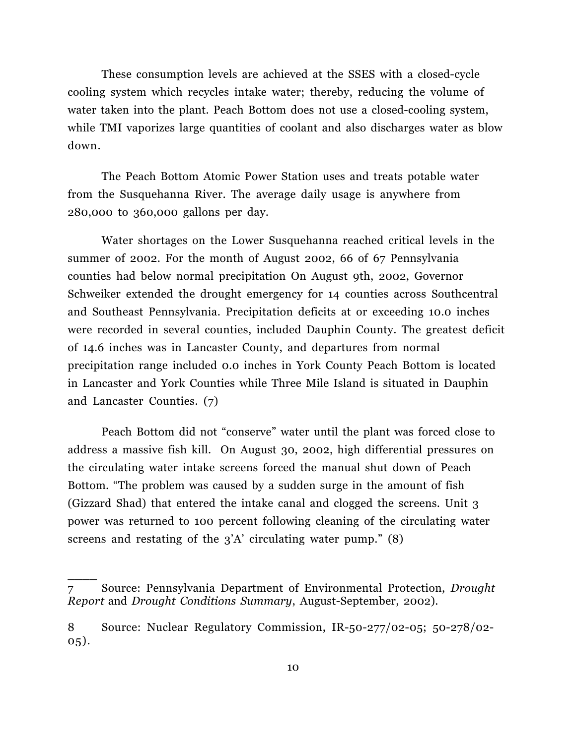These consumption levels are achieved at the SSES with a closed-cycle cooling system which recycles intake water; thereby, reducing the volume of water taken into the plant. Peach Bottom does not use a closed-cooling system, while TMI vaporizes large quantities of coolant and also discharges water as blow down.

 The Peach Bottom Atomic Power Station uses and treats potable water from the Susquehanna River. The average daily usage is anywhere from 280,000 to 360,000 gallons per day.

Water shortages on the Lower Susquehanna reached critical levels in the summer of 2002. For the month of August 2002, 66 of 67 Pennsylvania counties had below normal precipitation On August 9th, 2002, Governor Schweiker extended the drought emergency for 14 counties across Southcentral and Southeast Pennsylvania. Precipitation deficits at or exceeding 10.0 inches were recorded in several counties, included Dauphin County. The greatest deficit of 14.6 inches was in Lancaster County, and departures from normal precipitation range included 0.0 inches in York County Peach Bottom is located in Lancaster and York Counties while Three Mile Island is situated in Dauphin and Lancaster Counties. (7)

Peach Bottom did not "conserve" water until the plant was forced close to address a massive fish kill. On August 30, 2002, high differential pressures on the circulating water intake screens forced the manual shut down of Peach Bottom. "The problem was caused by a sudden surge in the amount of fish (Gizzard Shad) that entered the intake canal and clogged the screens. Unit 3 power was returned to 100 percent following cleaning of the circulating water screens and restating of the 3'A' circulating water pump." (8)

<sup>7</sup> Source: Pennsylvania Department of Environmental Protection, *Drought Report* and *Drought Conditions Summary*, August-September, 2002).

<sup>8</sup> Source: Nuclear Regulatory Commission, IR-50-277/02-05; 50-278/02- 05).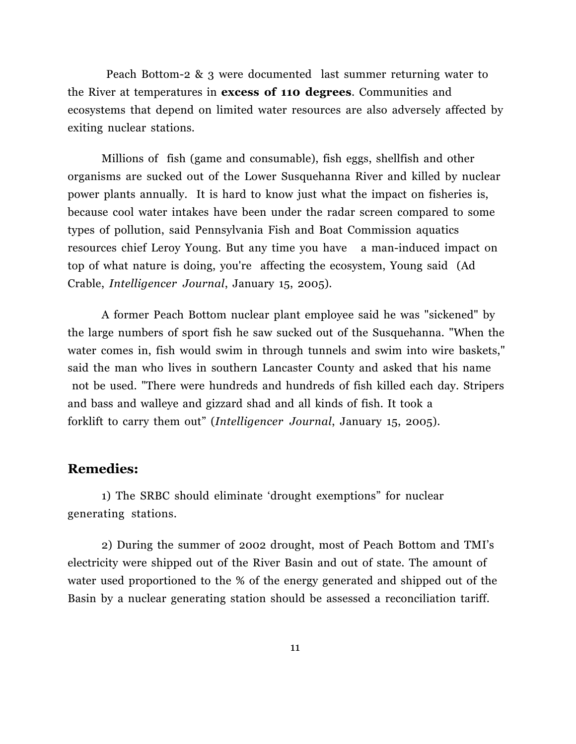Peach Bottom-2 & 3 were documented last summer returning water to the River at temperatures in **excess of 110 degrees**. Communities and ecosystems that depend on limited water resources are also adversely affected by exiting nuclear stations.

Millions of fish (game and consumable), fish eggs, shellfish and other organisms are sucked out of the Lower Susquehanna River and killed by nuclear power plants annually. It is hard to know just what the impact on fisheries is, because cool water intakes have been under the radar screen compared to some types of pollution, said Pennsylvania Fish and Boat Commission aquatics resources chief Leroy Young. But any time you have a man-induced impact on top of what nature is doing, you're affecting the ecosystem, Young said (Ad Crable, *Intelligencer Journal*, January 15, 2005).

 A former Peach Bottom nuclear plant employee said he was "sickened" by the large numbers of sport fish he saw sucked out of the Susquehanna. "When the water comes in, fish would swim in through tunnels and swim into wire baskets," said the man who lives in southern Lancaster County and asked that his name not be used. "There were hundreds and hundreds of fish killed each day. Stripers and bass and walleye and gizzard shad and all kinds of fish. It took a forklift to carry them out" (*Intelligencer Journal*, January 15, 2005).

### **Remedies:**

1) The SRBC should eliminate 'drought exemptions" for nuclear generating stations.

2) During the summer of 2002 drought, most of Peach Bottom and TMI's electricity were shipped out of the River Basin and out of state. The amount of water used proportioned to the % of the energy generated and shipped out of the Basin by a nuclear generating station should be assessed a reconciliation tariff.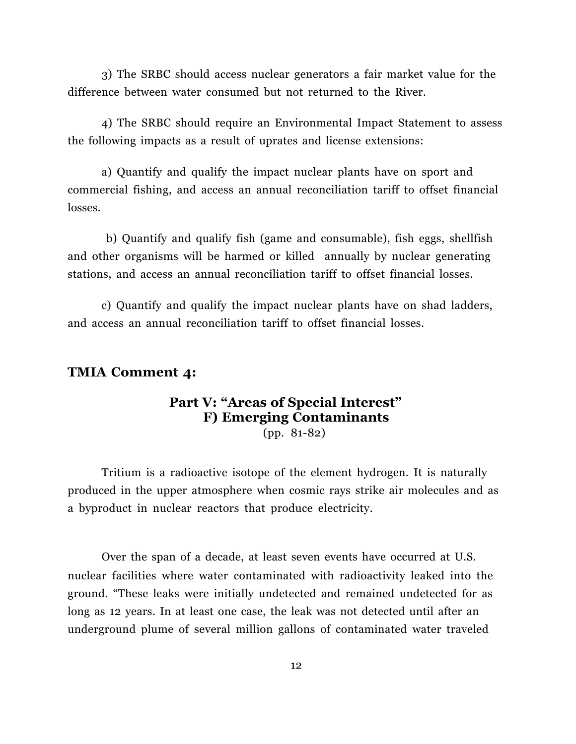3) The SRBC should access nuclear generators a fair market value for the difference between water consumed but not returned to the River.

4) The SRBC should require an Environmental Impact Statement to assess the following impacts as a result of uprates and license extensions:

a) Quantify and qualify the impact nuclear plants have on sport and commercial fishing, and access an annual reconciliation tariff to offset financial losses.

b) Quantify and qualify fish (game and consumable), fish eggs, shellfish and other organisms will be harmed or killed annually by nuclear generating stations, and access an annual reconciliation tariff to offset financial losses.

c) Quantify and qualify the impact nuclear plants have on shad ladders, and access an annual reconciliation tariff to offset financial losses.

### **TMIA Comment 4:**

# **Part V: "Areas of Special Interest" F) Emerging Contaminants**

(pp. 81-82)

Tritium is a radioactive isotope of the element hydrogen. It is naturally produced in the upper atmosphere when cosmic rays strike air molecules and as a byproduct in nuclear reactors that produce electricity.

 Over the span of a decade, at least seven events have occurred at U.S. nuclear facilities where water contaminated with radioactivity leaked into the ground. "These leaks were initially undetected and remained undetected for as long as 12 years. In at least one case, the leak was not detected until after an underground plume of several million gallons of contaminated water traveled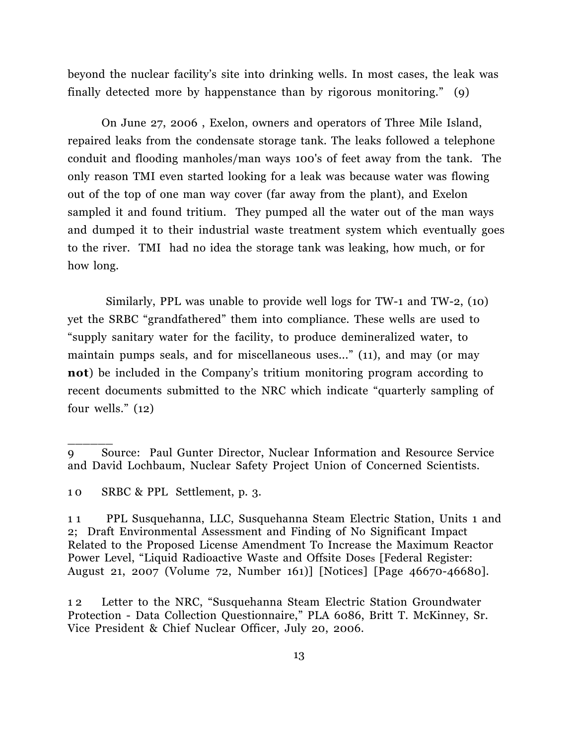beyond the nuclear facility's site into drinking wells. In most cases, the leak was finally detected more by happenstance than by rigorous monitoring." (9)

On June 27, 2006 , Exelon, owners and operators of Three Mile Island, repaired leaks from the condensate storage tank. The leaks followed a telephone conduit and flooding manholes/man ways 100's of feet away from the tank. The only reason TMI even started looking for a leak was because water was flowing out of the top of one man way cover (far away from the plant), and Exelon sampled it and found tritium. They pumped all the water out of the man ways and dumped it to their industrial waste treatment system which eventually goes to the river. TMI had no idea the storage tank was leaking, how much, or for how long.

 Similarly, PPL was unable to provide well logs for TW-1 and TW-2, (10) yet the SRBC "grandfathered" them into compliance. These wells are used to "supply sanitary water for the facility, to produce demineralized water, to maintain pumps seals, and for miscellaneous uses..." (11), and may (or may **not**) be included in the Company's tritium monitoring program according to recent documents submitted to the NRC which indicate "quarterly sampling of four wells." (12)

\_\_\_\_\_\_

<sup>9</sup> Source: Paul Gunter Director, Nuclear Information and Resource Service and David Lochbaum, Nuclear Safety Project Union of Concerned Scientists.

<sup>1 0</sup> SRBC & PPL Settlement, p. 3.

<sup>1 1</sup> PPL Susquehanna, LLC, Susquehanna Steam Electric Station, Units 1 and 2; Draft Environmental Assessment and Finding of No Significant Impact Related to the Proposed License Amendment To Increase the Maximum Reactor Power Level, "Liquid Radioactive Waste and Offsite Doses [Federal Register: August 21, 2007 (Volume 72, Number 161)] [Notices] [Page 46670-46680].

<sup>1 2</sup> Letter to the NRC, "Susquehanna Steam Electric Station Groundwater Protection - Data Collection Questionnaire," PLA 6086, Britt T. McKinney, Sr. Vice President & Chief Nuclear Officer, July 20, 2006.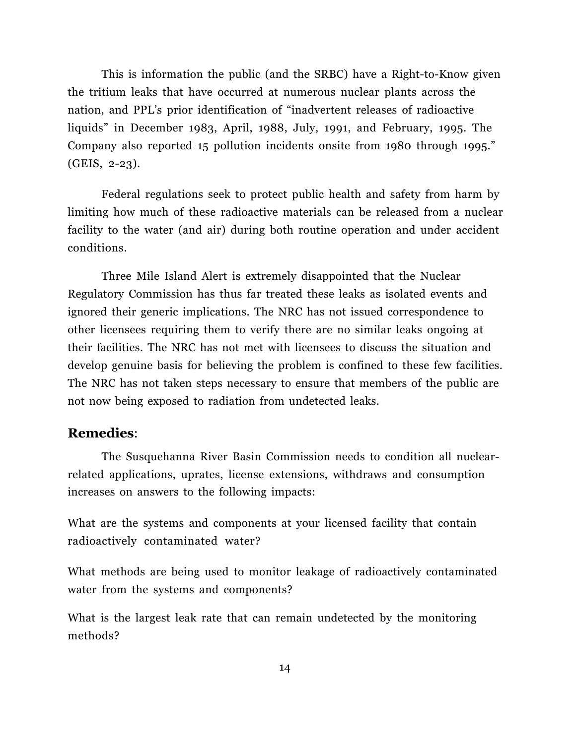This is information the public (and the SRBC) have a Right-to-Know given the tritium leaks that have occurred at numerous nuclear plants across the nation, and PPL's prior identification of "inadvertent releases of radioactive liquids" in December 1983, April, 1988, July, 1991, and February, 1995. The Company also reported 15 pollution incidents onsite from 1980 through 1995." (GEIS, 2-23).

 Federal regulations seek to protect public health and safety from harm by limiting how much of these radioactive materials can be released from a nuclear facility to the water (and air) during both routine operation and under accident conditions.

Three Mile Island Alert is extremely disappointed that the Nuclear Regulatory Commission has thus far treated these leaks as isolated events and ignored their generic implications. The NRC has not issued correspondence to other licensees requiring them to verify there are no similar leaks ongoing at their facilities. The NRC has not met with licensees to discuss the situation and develop genuine basis for believing the problem is confined to these few facilities. The NRC has not taken steps necessary to ensure that members of the public are not now being exposed to radiation from undetected leaks.

### **Remedies**:

The Susquehanna River Basin Commission needs to condition all nuclearrelated applications, uprates, license extensions, withdraws and consumption increases on answers to the following impacts:

What are the systems and components at your licensed facility that contain radioactively contaminated water?

What methods are being used to monitor leakage of radioactively contaminated water from the systems and components?

What is the largest leak rate that can remain undetected by the monitoring methods?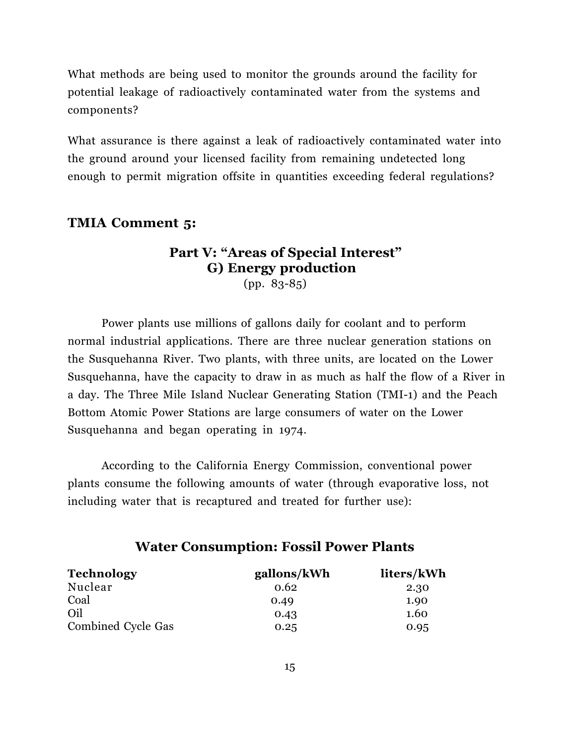What methods are being used to monitor the grounds around the facility for potential leakage of radioactively contaminated water from the systems and components?

What assurance is there against a leak of radioactively contaminated water into the ground around your licensed facility from remaining undetected long enough to permit migration offsite in quantities exceeding federal regulations?

#### **TMIA Comment 5:**

### **Part V: "Areas of Special Interest" G) Energy production** (pp. 83-85)

Power plants use millions of gallons daily for coolant and to perform normal industrial applications. There are three nuclear generation stations on the Susquehanna River. Two plants, with three units, are located on the Lower Susquehanna, have the capacity to draw in as much as half the flow of a River in a day. The Three Mile Island Nuclear Generating Station (TMI-1) and the Peach Bottom Atomic Power Stations are large consumers of water on the Lower Susquehanna and began operating in 1974.

According to the California Energy Commission, conventional power plants consume the following amounts of water (through evaporative loss, not including water that is recaptured and treated for further use):

| <b>Technology</b>  | gallons/kWh | liters/kWh |
|--------------------|-------------|------------|
| Nuclear            | 0.62        | 2.30       |
| Coal               | 0.49        | 1.90       |
| Oil                | 0.43        | 1.60       |
| Combined Cycle Gas | 0.25        | 0.95       |

### **Water Consumption: Fossil Power Plants**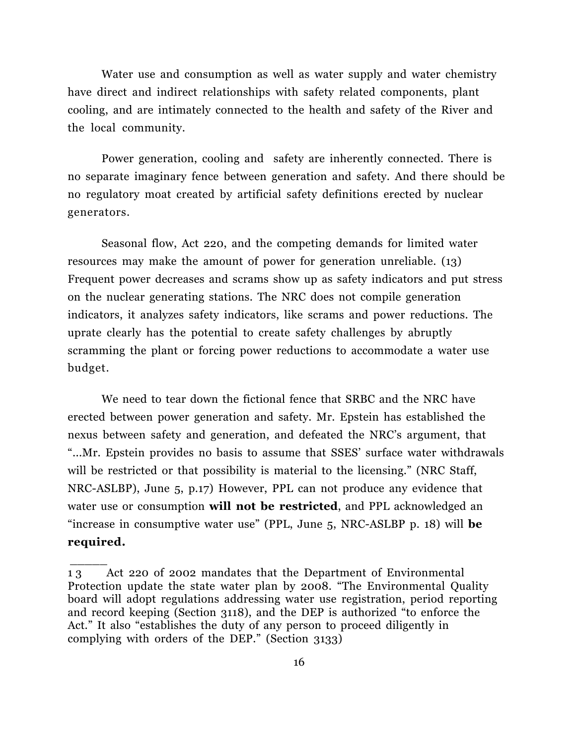Water use and consumption as well as water supply and water chemistry have direct and indirect relationships with safety related components, plant cooling, and are intimately connected to the health and safety of the River and the local community.

 Power generation, cooling and safety are inherently connected. There is no separate imaginary fence between generation and safety. And there should be no regulatory moat created by artificial safety definitions erected by nuclear generators.

 Seasonal flow, Act 220, and the competing demands for limited water resources may make the amount of power for generation unreliable. (13) Frequent power decreases and scrams show up as safety indicators and put stress on the nuclear generating stations. The NRC does not compile generation indicators, it analyzes safety indicators, like scrams and power reductions. The uprate clearly has the potential to create safety challenges by abruptly scramming the plant or forcing power reductions to accommodate a water use budget.

We need to tear down the fictional fence that SRBC and the NRC have erected between power generation and safety. Mr. Epstein has established the nexus between safety and generation, and defeated the NRC's argument, that "...Mr. Epstein provides no basis to assume that SSES' surface water withdrawals will be restricted or that possibility is material to the licensing." (NRC Staff, NRC-ASLBP), June 5, p.17) However, PPL can not produce any evidence that water use or consumption **will not be restricted**, and PPL acknowledged an "increase in consumptive water use" (PPL, June 5, NRC-ASLBP p. 18) will **be required.**

<sup>1 3</sup> Act 220 of 2002 mandates that the Department of Environmental Protection update the state water plan by 2008. "The Environmental Quality board will adopt regulations addressing water use registration, period reporting and record keeping (Section 3118), and the DEP is authorized "to enforce the Act." It also "establishes the duty of any person to proceed diligently in complying with orders of the DEP." (Section 3133)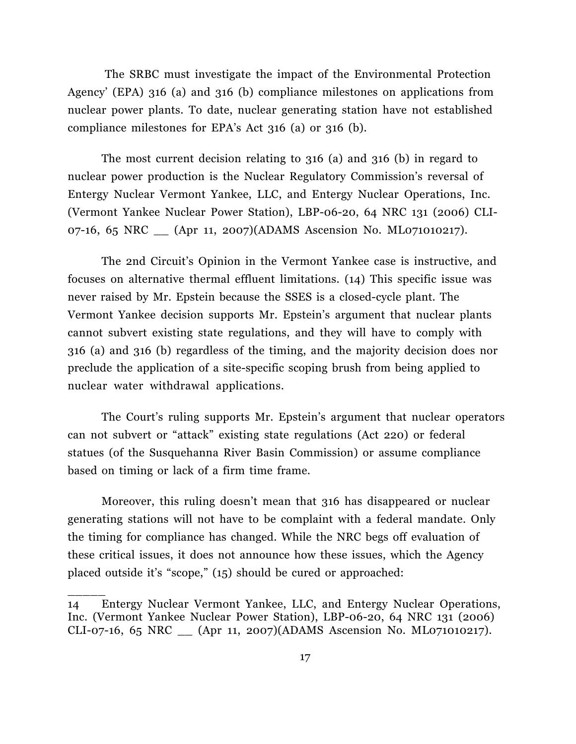The SRBC must investigate the impact of the Environmental Protection Agency' (EPA) 316 (a) and 316 (b) compliance milestones on applications from nuclear power plants. To date, nuclear generating station have not established compliance milestones for EPA's Act 316 (a) or 316 (b).

The most current decision relating to 316 (a) and 316 (b) in regard to nuclear power production is the Nuclear Regulatory Commission's reversal of Entergy Nuclear Vermont Yankee, LLC, and Entergy Nuclear Operations, Inc. (Vermont Yankee Nuclear Power Station), LBP-06-20, 64 NRC 131 (2006) CLI-07-16, 65 NRC \_\_ (Apr 11, 2007)(ADAMS Ascension No. ML071010217).

 The 2nd Circuit's Opinion in the Vermont Yankee case is instructive, and focuses on alternative thermal effluent limitations. (14) This specific issue was never raised by Mr. Epstein because the SSES is a closed-cycle plant. The Vermont Yankee decision supports Mr. Epstein's argument that nuclear plants cannot subvert existing state regulations, and they will have to comply with 316 (a) and 316 (b) regardless of the timing, and the majority decision does nor preclude the application of a site-specific scoping brush from being applied to nuclear water withdrawal applications.

The Court's ruling supports Mr. Epstein's argument that nuclear operators can not subvert or "attack" existing state regulations (Act 220) or federal statues (of the Susquehanna River Basin Commission) or assume compliance based on timing or lack of a firm time frame.

 Moreover, this ruling doesn't mean that 316 has disappeared or nuclear generating stations will not have to be complaint with a federal mandate. Only the timing for compliance has changed. While the NRC begs off evaluation of these critical issues, it does not announce how these issues, which the Agency placed outside it's "scope," (15) should be cured or approached:

<sup>14</sup> Entergy Nuclear Vermont Yankee, LLC, and Entergy Nuclear Operations, Inc. (Vermont Yankee Nuclear Power Station), LBP-06-20, 64 NRC 131 (2006) CLI-07-16, 65 NRC \_\_ (Apr 11, 2007)(ADAMS Ascension No. ML071010217).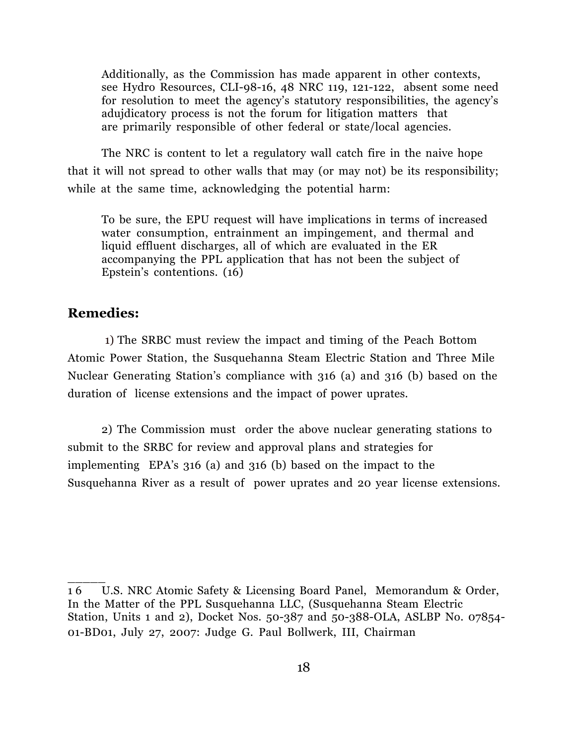Additionally, as the Commission has made apparent in other contexts, see Hydro Resources, CLI-98-16, 48 NRC 119, 121-122, absent some need for resolution to meet the agency's statutory responsibilities, the agency's adujdicatory process is not the forum for litigation matters that are primarily responsible of other federal or state/local agencies.

The NRC is content to let a regulatory wall catch fire in the naive hope that it will not spread to other walls that may (or may not) be its responsibility; while at the same time, acknowledging the potential harm:

To be sure, the EPU request will have implications in terms of increased water consumption, entrainment an impingement, and thermal and liquid effluent discharges, all of which are evaluated in the ER accompanying the PPL application that has not been the subject of Epstein's contentions. (16)

### **Remedies:**

 $\overline{\phantom{a}}$ 

1) The SRBC must review the impact and timing of the Peach Bottom Atomic Power Station, the Susquehanna Steam Electric Station and Three Mile Nuclear Generating Station's compliance with 316 (a) and 316 (b) based on the duration of license extensions and the impact of power uprates.

2) The Commission must order the above nuclear generating stations to submit to the SRBC for review and approval plans and strategies for implementing EPA's 316 (a) and 316 (b) based on the impact to the Susquehanna River as a result of power uprates and 20 year license extensions.

<sup>1 6</sup> U.S. NRC Atomic Safety & Licensing Board Panel, Memorandum & Order, In the Matter of the PPL Susquehanna LLC, (Susquehanna Steam Electric Station, Units 1 and 2), Docket Nos. 50-387 and 50-388-OLA, ASLBP No. 07854- 01-BD01, July 27, 2007: Judge G. Paul Bollwerk, III, Chairman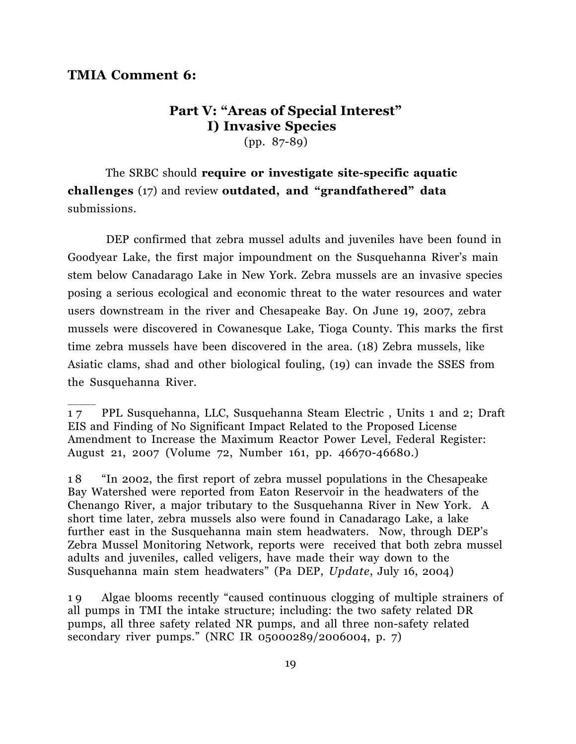#### **TMIA Comment 6:**

 $\overline{\phantom{a}}$ 

## **Part V: "Areas of Special Interest" I) Invasive Species**

(pp. 87-89)

 The SRBC should **require or investigate site-specific aquatic challenges** (17) and review **outdated, and "grandfathered" data** submissions.

 DEP confirmed that zebra mussel adults and juveniles have been found in Goodyear Lake, the first major impoundment on the Susquehanna River's main stem below Canadarago Lake in New York. Zebra mussels are an invasive species posing a serious ecological and economic threat to the water resources and water users downstream in the river and Chesapeake Bay. On June 19, 2007, zebra mussels were discovered in Cowanesque Lake, Tioga County. This marks the first time zebra mussels have been discovered in the area. (18) Zebra mussels, like Asiatic clams, shad and other biological fouling, (19) can invade the SSES from the Susquehanna River.

1 8 "In 2002, the first report of zebra mussel populations in the Chesapeake Bay Watershed were reported from Eaton Reservoir in the headwaters of the Chenango River, a major tributary to the Susquehanna River in New York. A short time later, zebra mussels also were found in Canadarago Lake, a lake further east in the Susquehanna main stem headwaters. Now, through DEP's Zebra Mussel Monitoring Network, reports were received that both zebra mussel adults and juveniles, called veligers, have made their way down to the Susquehanna main stem headwaters" (Pa DEP, *Update*, July 16, 2004)

1 9 Algae blooms recently "caused continuous clogging of multiple strainers of all pumps in TMI the intake structure; including: the two safety related DR pumps, all three safety related NR pumps, and all three non-safety related secondary river pumps." (NRC IR 05000289/2006004, p. 7)

<sup>1 7</sup> PPL Susquehanna, LLC, Susquehanna Steam Electric , Units 1 and 2; Draft EIS and Finding of No Significant Impact Related to the Proposed License Amendment to Increase the Maximum Reactor Power Level, Federal Register: August 21, 2007 (Volume 72, Number 161, pp. 46670-46680.)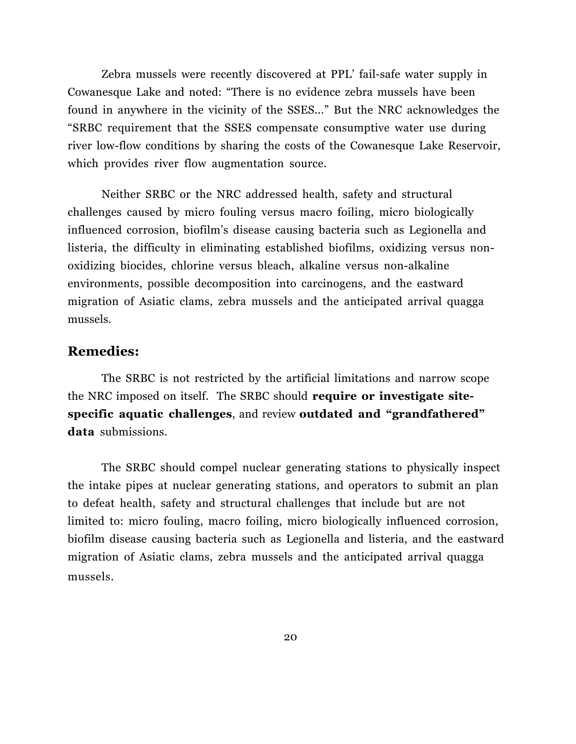Zebra mussels were recently discovered at PPL' fail-safe water supply in Cowanesque Lake and noted: "There is no evidence zebra mussels have been found in anywhere in the vicinity of the SSES..." But the NRC acknowledges the "SRBC requirement that the SSES compensate consumptive water use during river low-flow conditions by sharing the costs of the Cowanesque Lake Reservoir, which provides river flow augmentation source.

Neither SRBC or the NRC addressed health, safety and structural challenges caused by micro fouling versus macro foiling, micro biologically influenced corrosion, biofilm's disease causing bacteria such as Legionella and listeria, the difficulty in eliminating established biofilms, oxidizing versus nonoxidizing biocides, chlorine versus bleach, alkaline versus non-alkaline environments, possible decomposition into carcinogens, and the eastward migration of Asiatic clams, zebra mussels and the anticipated arrival quagga mussels.

### **Remedies:**

The SRBC is not restricted by the artificial limitations and narrow scope the NRC imposed on itself. The SRBC should **require or investigate sitespecific aquatic challenges**, and review **outdated and "grandfathered" data** submissions.

The SRBC should compel nuclear generating stations to physically inspect the intake pipes at nuclear generating stations, and operators to submit an plan to defeat health, safety and structural challenges that include but are not limited to: micro fouling, macro foiling, micro biologically influenced corrosion, biofilm disease causing bacteria such as Legionella and listeria, and the eastward migration of Asiatic clams, zebra mussels and the anticipated arrival quagga mussels.